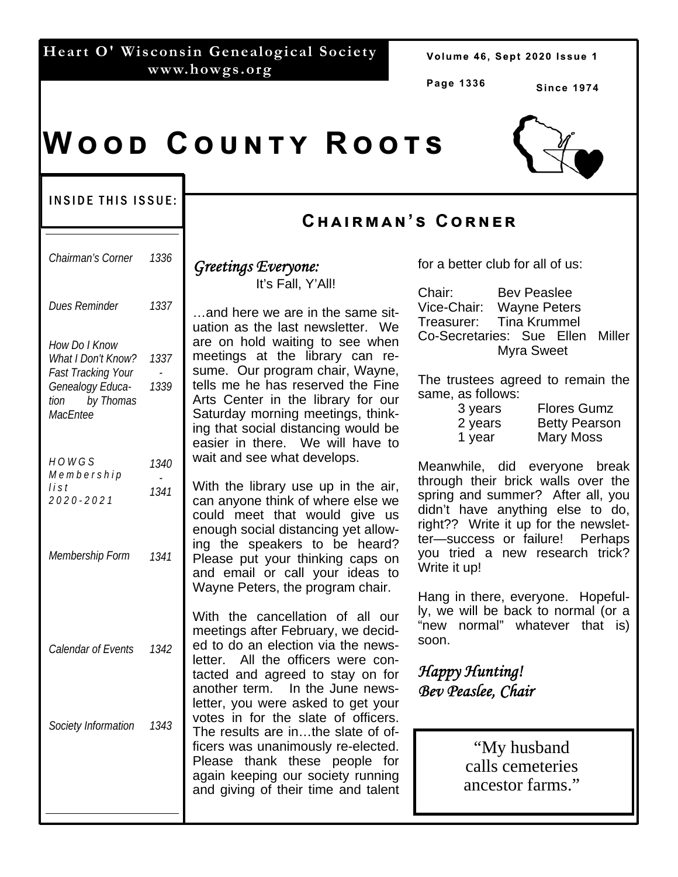|               |  | Heart O' Wisconsin Genealogical Society |  |  |  |
|---------------|--|-----------------------------------------|--|--|--|
| www.howgs.org |  |                                         |  |  |  |

Volume 46, Sept 2020 Issue 1

**Page 1336** 

**Cඐඉඑකඕඉඖ'ඛ Cකඖඍක**

**Since 1974** 

# $W$  O O D  $C$  O U N T Y  $R$  O O T S

#### INSIDE THIS ISSUE:

| Chairman's Corner                                                                                                     | 1336         |
|-----------------------------------------------------------------------------------------------------------------------|--------------|
| Dues Reminder                                                                                                         | 1337         |
| How Do I Know<br>What I Don't Know?<br><b>Fast Tracking Your</b><br>Genealogy Educa-<br>by Thomas<br>tion<br>MacEntee | 1337<br>1339 |
| HOWGS<br>Membership<br>list<br>2020-2021                                                                              | 1340<br>1341 |
| Membership Form                                                                                                       | 1341         |
| Calendar of Events                                                                                                    | 1342         |
| Society Information                                                                                                   | 1343         |

# *Greetings Everyone:*

It's Fall, Y'All!

…and here we are in the same situation as the last newsletter. We are on hold waiting to see when meetings at the library can resume. Our program chair, Wayne, tells me he has reserved the Fine Arts Center in the library for our Saturday morning meetings, thinking that social distancing would be easier in there. We will have to wait and see what develops.

With the library use up in the air, can anyone think of where else we could meet that would give us enough social distancing yet allowing the speakers to be heard? Please put your thinking caps on and email or call your ideas to Wayne Peters, the program chair.

With the cancellation of all our meetings after February, we decided to do an election via the newsletter. All the officers were contacted and agreed to stay on for another term. In the June newsletter, you were asked to get your votes in for the slate of officers. The results are in…the slate of officers was unanimously re-elected. Please thank these people for again keeping our society running and giving of their time and talent for a better club for all of us:

| Chair:                           |                          | <b>Bev Peaslee</b> |  |  |
|----------------------------------|--------------------------|--------------------|--|--|
|                                  | Vice-Chair: Wayne Peters |                    |  |  |
| Treasurer: Tina Krummel          |                          |                    |  |  |
| Co-Secretaries: Sue Ellen Miller |                          |                    |  |  |
| Myra Sweet                       |                          |                    |  |  |

The trustees agreed to remain the same, as follows:

| 3 years | <b>Flores Gumz</b>   |
|---------|----------------------|
| 2 years | <b>Betty Pearson</b> |
| 1 year  | Mary Moss            |

Meanwhile, did everyone break through their brick walls over the spring and summer? After all, you didn't have anything else to do, right?? Write it up for the newsletter—success or failure! Perhaps you tried a new research trick? Write it up!

Hang in there, everyone. Hopefully, we will be back to normal (or a "new normal" whatever that is) soon.

### *Happy Hunting! Bev Peaslee, Chair*

"My husband calls cemeteries ancestor farms."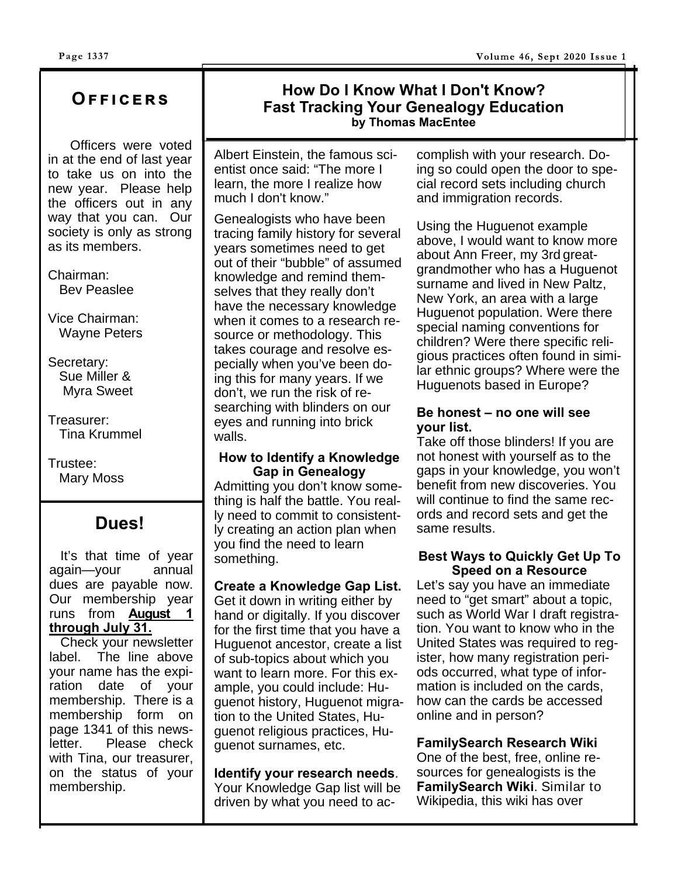### **Oඎඎඑඋඍකඛ**

 Officers were voted in at the end of last year to take us on into the new year. Please help the officers out in any way that you can. Our society is only as strong as its members.

Chairman: Bev Peaslee

Vice Chairman: Wayne Peters

Secretary: Sue Miller & Myra Sweet

Treasurer: Tina Krummel

Trustee: Mary Moss

## **Dues!**

 It's that time of year again—your annual dues are payable now. Our membership year runs from **August 1 through July 31.** 

 Check your newsletter label. The line above your name has the expiration date of your membership. There is a membership form on page 1341 of this newsletter. Please check with Tina, our treasurer, on the status of your membership.

# **How Do I Know What I Don't Know? Fast Tracking Your Genealogy Education by Thomas MacEntee**

Albert Einstein, the famous scientist once said: "The more I learn, the more I realize how much I don't know."

Genealogists who have been tracing family history for several years sometimes need to get out of their "bubble" of assumed knowledge and remind themselves that they really don't have the necessary knowledge when it comes to a research resource or methodology. This takes courage and resolve especially when you've been doing this for many years. If we don't, we run the risk of researching with blinders on our eyes and running into brick walls.

#### **How to Identify a Knowledge Gap in Genealogy**

Admitting you don't know something is half the battle. You really need to commit to consistently creating an action plan when you find the need to learn something.

#### **Create a Knowledge Gap List.**

Get it down in writing either by hand or digitally. If you discover for the first time that you have a Huguenot ancestor, create a list of sub-topics about which you want to learn more. For this example, you could include: Huguenot history, Huguenot migration to the United States, Huguenot religious practices, Huguenot surnames, etc.

**Identify your research needs**. Your Knowledge Gap list will be driven by what you need to ac-

complish with your research. Doing so could open the door to special record sets including church and immigration records.

Using the Huguenot example above, I would want to know more about Ann Freer, my 3rd greatgrandmother who has a Huguenot surname and lived in New Paltz, New York, an area with a large Huguenot population. Were there special naming conventions for children? Were there specific religious practices often found in similar ethnic groups? Where were the Huguenots based in Europe?

#### **Be honest – no one will see your list.**

Take off those blinders! If you are not honest with yourself as to the gaps in your knowledge, you won't benefit from new discoveries. You will continue to find the same records and record sets and get the same results.

#### **Best Ways to Quickly Get Up To Speed on a Resource**

Let's say you have an immediate need to "get smart" about a topic, such as World War I draft registration. You want to know who in the United States was required to register, how many registration periods occurred, what type of information is included on the cards, how can the cards be accessed online and in person?

**FamilySearch Research Wiki** 

One of the best, free, online resources for genealogists is the **FamilySearch Wiki**. Similar to Wikipedia, this wiki has over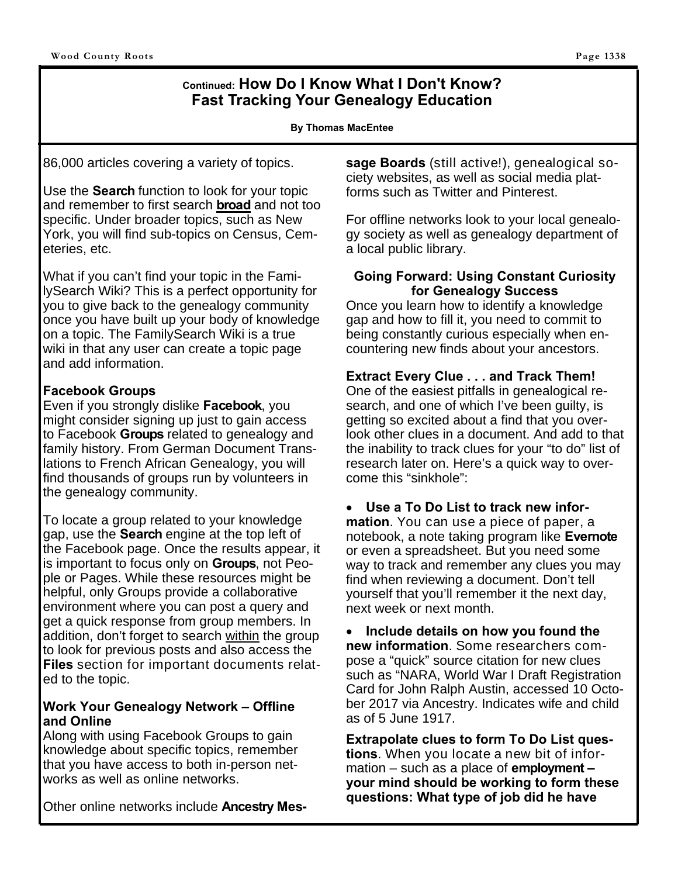#### **Continued: How Do I Know What I Don't Know? Fast Tracking Your Genealogy Education**

#### **By Thomas MacEntee**

86,000 articles covering a variety of topics.

Use the **Search** function to look for your topic and remember to first search **broad** and not too specific. Under broader topics, such as New York, you will find sub-topics on Census, Cemeteries, etc.

What if you can't find your topic in the FamilySearch Wiki? This is a perfect opportunity for you to give back to the genealogy community once you have built up your body of knowledge on a topic. The FamilySearch Wiki is a true wiki in that any user can create a topic page and add information.

#### **Facebook Groups**

Even if you strongly dislike **Facebook**, you might consider signing up just to gain access to Facebook **Groups** related to genealogy and family history. From German Document Translations to French African Genealogy, you will find thousands of groups run by volunteers in the genealogy community.

To locate a group related to your knowledge gap, use the **Search** engine at the top left of the Facebook page. Once the results appear, it is important to focus only on **Groups**, not People or Pages. While these resources might be helpful, only Groups provide a collaborative environment where you can post a query and get a quick response from group members. In addition, don't forget to search within the group to look for previous posts and also access the **Files** section for important documents related to the topic.

#### **Work Your Genealogy Network – Offline and Online**

Along with using Facebook Groups to gain knowledge about specific topics, remember that you have access to both in-person networks as well as online networks.

Other online networks include **Ancestry Mes-**

**sage Boards** (still active!), genealogical society websites, as well as social media platforms such as Twitter and Pinterest.

For offline networks look to your local genealogy society as well as genealogy department of a local public library.

#### **Going Forward: Using Constant Curiosity for Genealogy Success**

Once you learn how to identify a knowledge gap and how to fill it, you need to commit to being constantly curious especially when encountering new finds about your ancestors.

#### **Extract Every Clue . . . and Track Them!**

One of the easiest pitfalls in genealogical research, and one of which I've been guilty, is getting so excited about a find that you overlook other clues in a document. And add to that the inability to track clues for your "to do" list of research later on. Here's a quick way to overcome this "sinkhole":

**Use a To Do List to track new infor-**

**mation**. You can use a piece of paper, a notebook, a note taking program like **Evernote** or even a spreadsheet. But you need some way to track and remember any clues you may find when reviewing a document. Don't tell yourself that you'll remember it the next day, next week or next month.

 **Include details on how you found the new information**. Some researchers compose a "quick" source citation for new clues such as "NARA, World War I Draft Registration Card for John Ralph Austin, accessed 10 October 2017 via Ancestry. Indicates wife and child as of 5 June 1917.

**Extrapolate clues to form To Do List questions**. When you locate a new bit of information – such as a place of **employment – your mind should be working to form these questions: What type of job did he have**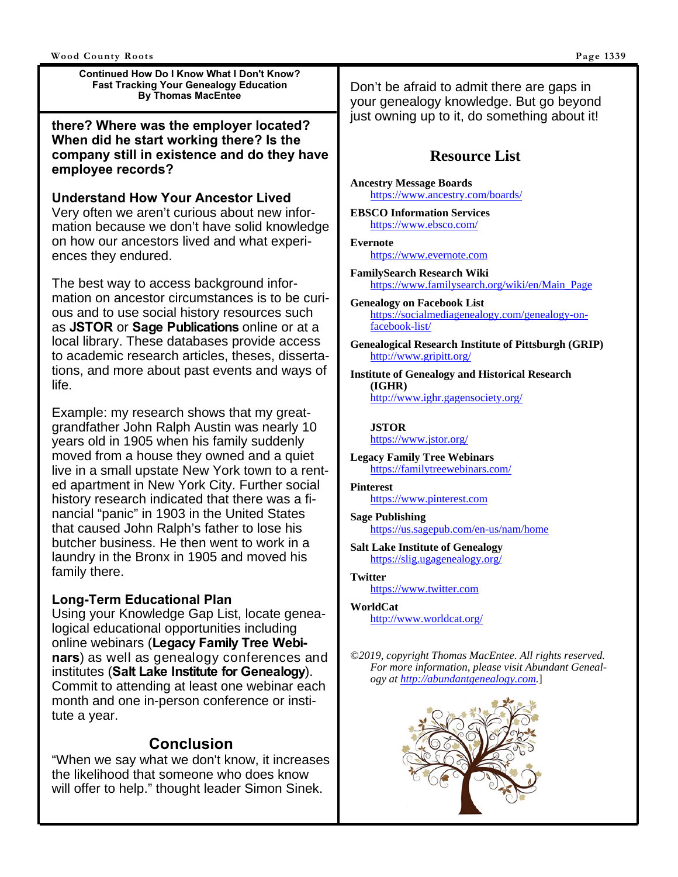**Continued How Do I Know What I Don't Know? Fast Tracking Your Genealogy Education By Thomas MacEntee** 

**there? Where was the employer located? When did he start working there? Is the company still in existence and do they have employee records?** 

**Understand How Your Ancestor Lived**  Very often we aren't curious about new information because we don't have solid knowledge on how our ancestors lived and what experiences they endured.

The best way to access background information on ancestor circumstances is to be curious and to use social history resources such as **JSTOR** or **Sage Publications** online or at a local library. These databases provide access to academic research articles, theses, dissertations, and more about past events and ways of life.

Example: my research shows that my greatgrandfather John Ralph Austin was nearly 10 years old in 1905 when his family suddenly moved from a house they owned and a quiet live in a small upstate New York town to a rented apartment in New York City. Further social history research indicated that there was a financial "panic" in 1903 in the United States that caused John Ralph's father to lose his butcher business. He then went to work in a laundry in the Bronx in 1905 and moved his family there.

#### **Long-Term Educational Plan**

Using your Knowledge Gap List, locate genealogical educational opportunities including online webinars (**Legacy Family Tree Webinars**) as well as genealogy conferences and institutes (**Salt Lake Institute for Genealogy**). Commit to attending at least one webinar each month and one in-person conference or institute a year.

#### **Conclusion**

"When we say what we don't know, it increases the likelihood that someone who does know will offer to help." thought leader Simon Sinek.

Don't be afraid to admit there are gaps in your genealogy knowledge. But go beyond just owning up to it, do something about it!

#### **Resource List**

**Ancestry Message Boards** https://www.ancestry.com/boards/

**EBSCO Information Services** https://www.ebsco.com/

**Evernote**  https://www.evernote.com

- **FamilySearch Research Wiki** https://www.familysearch.org/wiki/en/Main\_Page
- **Genealogy on Facebook List** https://socialmediagenealogy.com/genealogy-onfacebook-list/
- **Genealogical Research Institute of Pittsburgh (GRIP)**  http://www.gripitt.org/

**Institute of Genealogy and Historical Research (IGHR)**  http://www.ighr.gagensociety.org/

#### **JSTOR** https://www.jstor.org/

**Legacy Family Tree Webinars**  https://familytreewebinars.com/

**Pinterest**  https://www.pinterest.com

**Sage Publishing** https://us.sagepub.com/en-us/nam/home

**Salt Lake Institute of Genealogy**  https://slig.ugagenealogy.org/

**Twitter**  https://www.twitter.com

**WorldCat** http://www.worldcat.org/

*©2019, copyright Thomas MacEntee. All rights reserved. For more information, please visit Abundant Genealogy at http://abundantgenealogy.com.*]

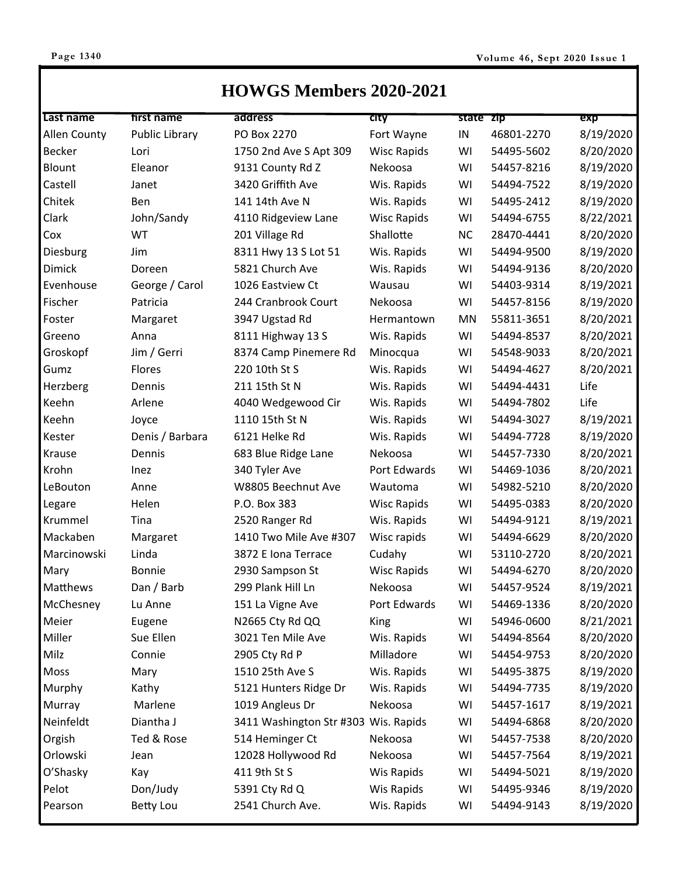# **HOWGS Members 2020-2021**

| Last name     | first name            | address                              | <b>CITY</b>        | state zip |            | exp       |
|---------------|-----------------------|--------------------------------------|--------------------|-----------|------------|-----------|
| Allen County  | <b>Public Library</b> | PO Box 2270                          | Fort Wayne         | IN        | 46801-2270 | 8/19/2020 |
| <b>Becker</b> | Lori                  | 1750 2nd Ave S Apt 309               | <b>Wisc Rapids</b> | WI        | 54495-5602 | 8/20/2020 |
| Blount        | Eleanor               | 9131 County Rd Z                     | Nekoosa            | WI        | 54457-8216 | 8/19/2020 |
| Castell       | Janet                 | 3420 Griffith Ave                    | Wis. Rapids        | WI        | 54494-7522 | 8/19/2020 |
| Chitek        | Ben                   | 141 14th Ave N                       | Wis. Rapids        | WI        | 54495-2412 | 8/19/2020 |
| Clark         | John/Sandy            | 4110 Ridgeview Lane                  | <b>Wisc Rapids</b> | WI        | 54494-6755 | 8/22/2021 |
| Cox           | WT                    | 201 Village Rd                       | Shallotte          | <b>NC</b> | 28470-4441 | 8/20/2020 |
| Diesburg      | Jim                   | 8311 Hwy 13 S Lot 51                 | Wis. Rapids        | WI        | 54494-9500 | 8/19/2020 |
| Dimick        | Doreen                | 5821 Church Ave                      | Wis. Rapids        | WI        | 54494-9136 | 8/20/2020 |
| Evenhouse     | George / Carol        | 1026 Eastview Ct                     | Wausau             | WI        | 54403-9314 | 8/19/2021 |
| Fischer       | Patricia              | 244 Cranbrook Court                  | Nekoosa            | WI        | 54457-8156 | 8/19/2020 |
| Foster        | Margaret              | 3947 Ugstad Rd                       | Hermantown         | <b>MN</b> | 55811-3651 | 8/20/2021 |
| Greeno        | Anna                  | 8111 Highway 13 S                    | Wis. Rapids        | WI        | 54494-8537 | 8/20/2021 |
| Groskopf      | Jim / Gerri           | 8374 Camp Pinemere Rd                | Minocqua           | WI        | 54548-9033 | 8/20/2021 |
| Gumz          | Flores                | 220 10th St S                        | Wis. Rapids        | WI        | 54494-4627 | 8/20/2021 |
| Herzberg      | Dennis                | 211 15th St N                        | Wis. Rapids        | WI        | 54494-4431 | Life      |
| Keehn         | Arlene                | 4040 Wedgewood Cir                   | Wis. Rapids        | WI        | 54494-7802 | Life      |
| Keehn         | Joyce                 | 1110 15th St N                       | Wis. Rapids        | WI        | 54494-3027 | 8/19/2021 |
| Kester        | Denis / Barbara       | 6121 Helke Rd                        | Wis. Rapids        | WI        | 54494-7728 | 8/19/2020 |
| Krause        | Dennis                | 683 Blue Ridge Lane                  | Nekoosa            | WI        | 54457-7330 | 8/20/2021 |
| Krohn         | Inez                  | 340 Tyler Ave                        | Port Edwards       | WI        | 54469-1036 | 8/20/2021 |
| LeBouton      | Anne                  | W8805 Beechnut Ave                   | Wautoma            | WI        | 54982-5210 | 8/20/2020 |
| Legare        | Helen                 | P.O. Box 383                         | <b>Wisc Rapids</b> | WI        | 54495-0383 | 8/20/2020 |
| Krummel       | Tina                  | 2520 Ranger Rd                       | Wis. Rapids        | WI        | 54494-9121 | 8/19/2021 |
| Mackaben      | Margaret              | 1410 Two Mile Ave #307               | Wisc rapids        | WI        | 54494-6629 | 8/20/2020 |
| Marcinowski   | Linda                 | 3872 E Iona Terrace                  | Cudahy             | WI        | 53110-2720 | 8/20/2021 |
| Mary          | Bonnie                | 2930 Sampson St                      | <b>Wisc Rapids</b> | WI        | 54494-6270 | 8/20/2020 |
| Matthews      | Dan / Barb            | 299 Plank Hill Ln                    | Nekoosa            | WI        | 54457-9524 | 8/19/2021 |
| McChesney     | Lu Anne               | 151 La Vigne Ave                     | Port Edwards       | WI        | 54469-1336 | 8/20/2020 |
| Meier         | Eugene                | N2665 Cty Rd QQ                      | King               | WI        | 54946-0600 | 8/21/2021 |
| Miller        | Sue Ellen             | 3021 Ten Mile Ave                    | Wis. Rapids        | WI        | 54494-8564 | 8/20/2020 |
| Milz          | Connie                | 2905 Cty Rd P                        | Milladore          | WI        | 54454-9753 | 8/20/2020 |
| Moss          | Mary                  | 1510 25th Ave S                      | Wis. Rapids        | WI        | 54495-3875 | 8/19/2020 |
| Murphy        | Kathy                 | 5121 Hunters Ridge Dr                | Wis. Rapids        | WI        | 54494-7735 | 8/19/2020 |
| Murray        | Marlene               | 1019 Angleus Dr                      | Nekoosa            | WI        | 54457-1617 | 8/19/2021 |
| Neinfeldt     | Diantha J             | 3411 Washington Str #303 Wis. Rapids |                    | WI        | 54494-6868 | 8/20/2020 |
| Orgish        | Ted & Rose            | 514 Heminger Ct                      | Nekoosa            | WI        | 54457-7538 | 8/20/2020 |
| Orlowski      | Jean                  | 12028 Hollywood Rd                   | Nekoosa            | WI        | 54457-7564 | 8/19/2021 |
| O'Shasky      | Kay                   | 411 9th St S                         | Wis Rapids         | WI        | 54494-5021 | 8/19/2020 |
| Pelot         | Don/Judy              | 5391 Cty Rd Q                        | Wis Rapids         | WI        | 54495-9346 | 8/19/2020 |
| Pearson       | <b>Betty Lou</b>      | 2541 Church Ave.                     | Wis. Rapids        | WI        | 54494-9143 | 8/19/2020 |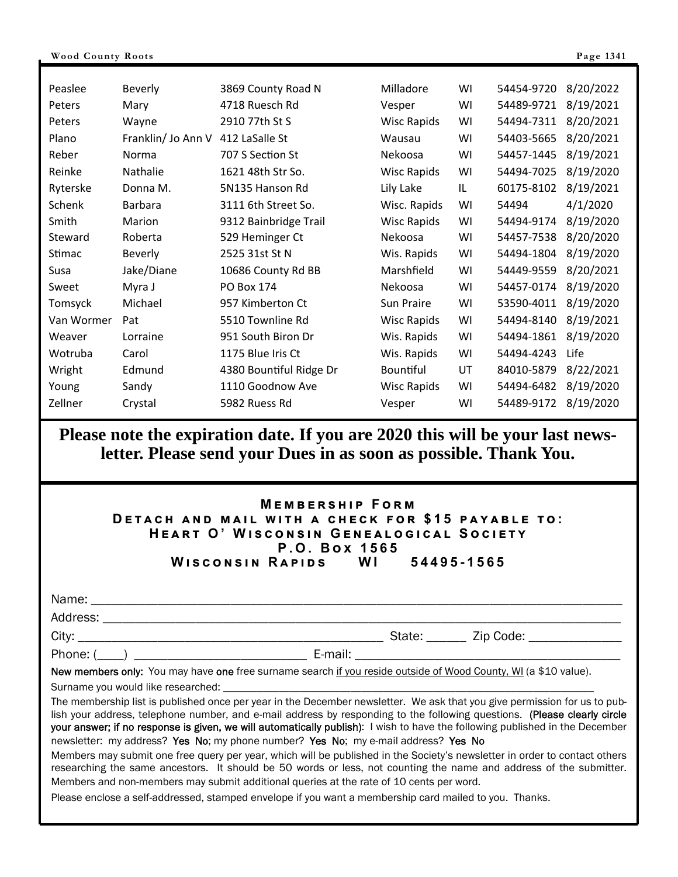| Peaslee    | <b>Beverly</b>     | 3869 County Road N      | Milladore          | WI | 54454-9720 | 8/20/2022 |
|------------|--------------------|-------------------------|--------------------|----|------------|-----------|
| Peters     | Mary               | 4718 Ruesch Rd          | Vesper             | WI | 54489-9721 | 8/19/2021 |
| Peters     | Wayne              | 2910 77th St S          | <b>Wisc Rapids</b> | WI | 54494-7311 | 8/20/2021 |
| Plano      | Franklin/ Jo Ann V | 412 LaSalle St          | Wausau             | WI | 54403-5665 | 8/20/2021 |
| Reber      | Norma              | 707 S Section St        | Nekoosa            | WI | 54457-1445 | 8/19/2021 |
| Reinke     | Nathalie           | 1621 48th Str So.       | <b>Wisc Rapids</b> | WI | 54494-7025 | 8/19/2020 |
| Ryterske   | Donna M.           | 5N135 Hanson Rd         | Lily Lake          | IL | 60175-8102 | 8/19/2021 |
| Schenk     | <b>Barbara</b>     | 3111 6th Street So.     | Wisc. Rapids       | WI | 54494      | 4/1/2020  |
| Smith      | Marion             | 9312 Bainbridge Trail   | <b>Wisc Rapids</b> | WI | 54494-9174 | 8/19/2020 |
| Steward    | Roberta            | 529 Heminger Ct         | Nekoosa            | WI | 54457-7538 | 8/20/2020 |
| Stimac     | <b>Beverly</b>     | 2525 31st St N          | Wis. Rapids        | WI | 54494-1804 | 8/19/2020 |
| Susa       | Jake/Diane         | 10686 County Rd BB      | Marshfield         | WI | 54449-9559 | 8/20/2021 |
| Sweet      | Myra J             | PO Box 174              | Nekoosa            | WI | 54457-0174 | 8/19/2020 |
| Tomsyck    | Michael            | 957 Kimberton Ct        | Sun Praire         | WI | 53590-4011 | 8/19/2020 |
| Van Wormer | Pat                | 5510 Townline Rd        | <b>Wisc Rapids</b> | WI | 54494-8140 | 8/19/2021 |
| Weaver     | Lorraine           | 951 South Biron Dr      | Wis. Rapids        | WI | 54494-1861 | 8/19/2020 |
| Wotruba    | Carol              | 1175 Blue Iris Ct       | Wis. Rapids        | WI | 54494-4243 | Life      |
| Wright     | Edmund             | 4380 Bountiful Ridge Dr | <b>Bountiful</b>   | UT | 84010-5879 | 8/22/2021 |
| Young      | Sandy              | 1110 Goodnow Ave        | <b>Wisc Rapids</b> | WI | 54494-6482 | 8/19/2020 |
| Zellner    | Crystal            | 5982 Ruess Rd           | Vesper             | WI | 54489-9172 | 8/19/2020 |

**Please note the expiration date. If you are 2020 this will be your last newsletter. Please send your Dues in as soon as possible. Thank You.** 

#### **MEMBERSHIP FORM DETACH AND MAIL WITH A CHECK FOR \$15 PAYABLE TO:**  $HEART$  O' WISCONSIN GENEALOGICAL SOCIETY  $P.O. Box 1565$ **WISCONSIN RAPIDS** WI 54495-1565

| Name<br>. |  |
|-----------|--|
|           |  |

Address: \_\_\_\_\_\_\_\_\_\_\_\_\_\_\_\_\_\_\_\_\_\_\_\_\_\_\_\_\_\_\_\_\_\_\_\_\_\_\_\_\_\_\_\_\_\_\_\_\_\_\_\_\_\_\_\_\_\_\_\_\_\_\_\_\_\_\_\_\_\_\_\_\_\_\_\_\_\_

Phone: (\_\_\_\_) \_\_\_\_\_\_\_\_\_\_\_\_\_\_\_\_\_\_\_\_\_\_\_\_\_\_ E-mail: \_\_\_\_\_\_\_\_\_\_\_\_\_\_\_\_\_\_\_\_\_\_\_\_\_\_\_\_\_\_\_\_\_\_\_\_\_\_\_\_

City: \_\_\_\_\_\_\_\_\_\_\_\_\_\_\_\_\_\_\_\_\_\_\_\_\_\_\_\_\_\_\_\_\_\_\_\_\_\_\_\_\_\_\_\_\_\_ State: \_\_\_\_\_\_ Zip Code: \_\_\_\_\_\_\_\_\_\_\_\_\_\_

New members only: You may have one free surname search if you reside outside of Wood County, WI (a \$10 value).

Surname you would like researched:

The membership list is published once per year in the December newsletter. We ask that you give permission for us to publish your address, telephone number, and e-mail address by responding to the following questions. (Please clearly circle your answer; if no response is given, we will automatically publish): I wish to have the following published in the December newsletter: my address? Yes No; my phone number? Yes No; my e-mail address? Yes No

Members may submit one free query per year, which will be published in the Society's newsletter in order to contact others researching the same ancestors. It should be 50 words or less, not counting the name and address of the submitter. Members and non-members may submit additional queries at the rate of 10 cents per word.

Please enclose a self-addressed, stamped envelope if you want a membership card mailed to you. Thanks.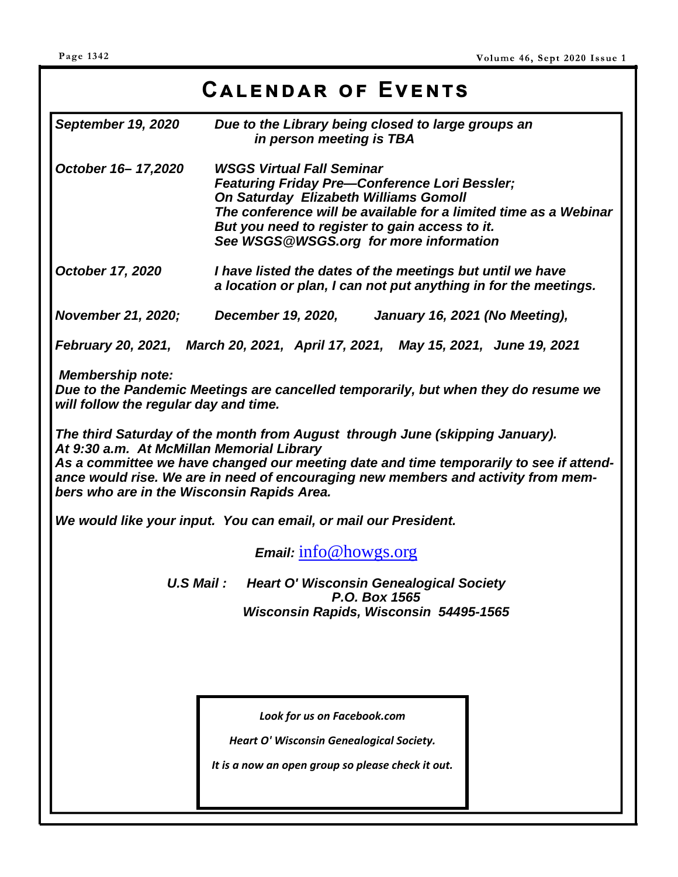# **Cඉඔඍඖඌඉක ඎ Eඞඍඖගඛ**

| <b>September 19, 2020</b>                                                                                                                                                                                                                                                                                                                              | Due to the Library being closed to large groups an<br>in person meeting is TBA                                                                                                                                                                                                                           |  |  |  |
|--------------------------------------------------------------------------------------------------------------------------------------------------------------------------------------------------------------------------------------------------------------------------------------------------------------------------------------------------------|----------------------------------------------------------------------------------------------------------------------------------------------------------------------------------------------------------------------------------------------------------------------------------------------------------|--|--|--|
| October 16-17,2020                                                                                                                                                                                                                                                                                                                                     | <b>WSGS Virtual Fall Seminar</b><br><b>Featuring Friday Pre-Conference Lori Bessler;</b><br><b>On Saturday Elizabeth Williams Gomoll</b><br>The conference will be available for a limited time as a Webinar<br>But you need to register to gain access to it.<br>See WSGS@WSGS.org for more information |  |  |  |
| <b>October 17, 2020</b>                                                                                                                                                                                                                                                                                                                                | I have listed the dates of the meetings but until we have<br>a location or plan, I can not put anything in for the meetings.                                                                                                                                                                             |  |  |  |
|                                                                                                                                                                                                                                                                                                                                                        | November 21, 2020; December 19, 2020,<br>January 16, 2021 (No Meeting),                                                                                                                                                                                                                                  |  |  |  |
|                                                                                                                                                                                                                                                                                                                                                        | February 20, 2021, March 20, 2021, April 17, 2021, May 15, 2021, June 19, 2021                                                                                                                                                                                                                           |  |  |  |
| <b>Membership note:</b><br>will follow the regular day and time.                                                                                                                                                                                                                                                                                       | Due to the Pandemic Meetings are cancelled temporarily, but when they do resume we                                                                                                                                                                                                                       |  |  |  |
| The third Saturday of the month from August through June (skipping January).<br>At 9:30 a.m. At McMillan Memorial Library<br>As a committee we have changed our meeting date and time temporarily to see if attend-<br>ance would rise. We are in need of encouraging new members and activity from mem-<br>bers who are in the Wisconsin Rapids Area. |                                                                                                                                                                                                                                                                                                          |  |  |  |
|                                                                                                                                                                                                                                                                                                                                                        | We would like your input. You can email, or mail our President.                                                                                                                                                                                                                                          |  |  |  |
|                                                                                                                                                                                                                                                                                                                                                        | Email: info@howgs.org                                                                                                                                                                                                                                                                                    |  |  |  |
| U.S Mail: Heart O' Wisconsin Genealogical Society<br>P.O. Box 1565                                                                                                                                                                                                                                                                                     |                                                                                                                                                                                                                                                                                                          |  |  |  |
|                                                                                                                                                                                                                                                                                                                                                        | Wisconsin Rapids, Wisconsin 54495-1565                                                                                                                                                                                                                                                                   |  |  |  |
|                                                                                                                                                                                                                                                                                                                                                        |                                                                                                                                                                                                                                                                                                          |  |  |  |
|                                                                                                                                                                                                                                                                                                                                                        |                                                                                                                                                                                                                                                                                                          |  |  |  |
|                                                                                                                                                                                                                                                                                                                                                        | Look for us on Facebook.com                                                                                                                                                                                                                                                                              |  |  |  |
|                                                                                                                                                                                                                                                                                                                                                        | Heart O' Wisconsin Genealogical Society.                                                                                                                                                                                                                                                                 |  |  |  |
|                                                                                                                                                                                                                                                                                                                                                        | It is a now an open group so please check it out.                                                                                                                                                                                                                                                        |  |  |  |
|                                                                                                                                                                                                                                                                                                                                                        |                                                                                                                                                                                                                                                                                                          |  |  |  |